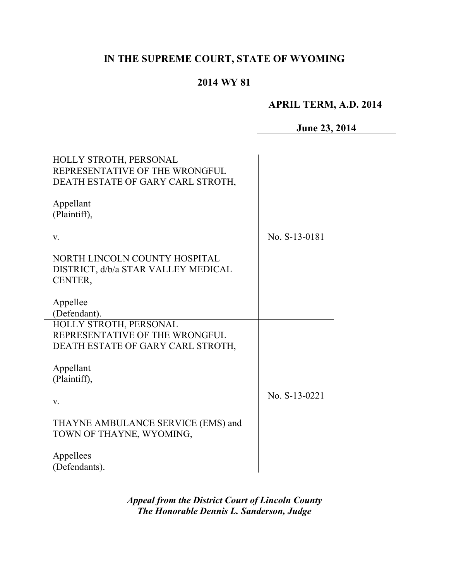# **IN THE SUPREME COURT, STATE OF WYOMING**

# **2014 WY 81**

# **APRIL TERM, A.D. 2014**

**June 23, 2014**

| HOLLY STROTH, PERSONAL<br>REPRESENTATIVE OF THE WRONGFUL<br>DEATH ESTATE OF GARY CARL STROTH, |               |
|-----------------------------------------------------------------------------------------------|---------------|
| Appellant<br>(Plaintiff),                                                                     |               |
| V.                                                                                            | No. S-13-0181 |
| NORTH LINCOLN COUNTY HOSPITAL<br>DISTRICT, d/b/a STAR VALLEY MEDICAL<br>CENTER,               |               |
| Appellee<br>(Defendant).                                                                      |               |
| HOLLY STROTH, PERSONAL<br>REPRESENTATIVE OF THE WRONGFUL                                      |               |
| DEATH ESTATE OF GARY CARL STROTH,                                                             |               |
| Appellant<br>(Plaintiff),                                                                     |               |
| V.                                                                                            | No. S-13-0221 |
| THAYNE AMBULANCE SERVICE (EMS) and<br>TOWN OF THAYNE, WYOMING,                                |               |
| Appellees<br>(Defendants).                                                                    |               |

*Appeal from the District Court of Lincoln County The Honorable Dennis L. Sanderson, Judge*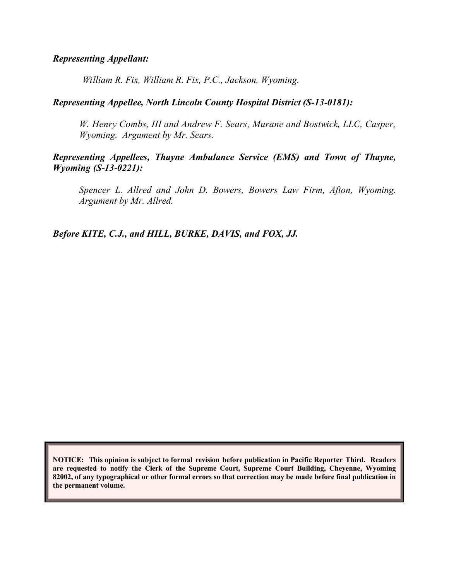#### *Representing Appellant:*

*William R. Fix, William R. Fix, P.C., Jackson, Wyoming.*

#### *Representing Appellee, North Lincoln County Hospital District (S-13-0181):*

*W. Henry Combs, III and Andrew F. Sears, Murane and Bostwick, LLC, Casper, Wyoming. Argument by Mr. Sears.*

#### *Representing Appellees, Thayne Ambulance Service (EMS) and Town of Thayne, Wyoming (S-13-0221):*

*Spencer L. Allred and John D. Bowers, Bowers Law Firm, Afton, Wyoming. Argument by Mr. Allred.*

*Before KITE, C.J., and HILL, BURKE, DAVIS, and FOX, JJ.*

**NOTICE: This opinion is subject to formal revision before publication in Pacific Reporter Third. Readers are requested to notify the Clerk of the Supreme Court, Supreme Court Building, Cheyenne, Wyoming 82002, of any typographical or other formal errors so that correction may be made before final publication in the permanent volume.**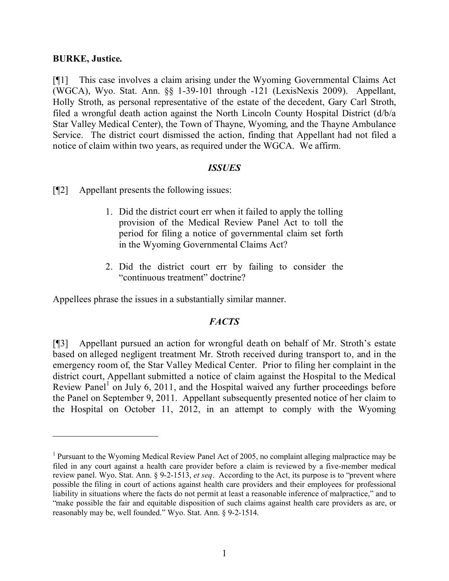#### **BURKE, Justice.**

 $\overline{a}$ 

[¶1] This case involves a claim arising under the Wyoming Governmental Claims Act (WGCA), Wyo. Stat. Ann. §§ 1-39-101 through -121 (LexisNexis 2009). Appellant, Holly Stroth, as personal representative of the estate of the decedent, Gary Carl Stroth, filed a wrongful death action against the North Lincoln County Hospital District (d/b/a Star Valley Medical Center), the Town of Thayne, Wyoming, and the Thayne Ambulance Service. The district court dismissed the action, finding that Appellant had not filed a notice of claim within two years, as required under the WGCA. We affirm.

#### *ISSUES*

[¶2] Appellant presents the following issues:

- 1. Did the district court err when it failed to apply the tolling provision of the Medical Review Panel Act to toll the period for filing a notice of governmental claim set forth in the Wyoming Governmental Claims Act?
- 2. Did the district court err by failing to consider the "continuous treatment" doctrine?

Appellees phrase the issues in a substantially similar manner.

### *FACTS*

[¶3] Appellant pursued an action for wrongful death on behalf of Mr. Stroth's estate based on alleged negligent treatment Mr. Stroth received during transport to, and in the emergency room of, the Star Valley Medical Center. Prior to filing her complaint in the district court, Appellant submitted a notice of claim against the Hospital to the Medical Review Panel<sup>1</sup> on July 6, 2011, and the Hospital waived any further proceedings before the Panel on September 9, 2011. Appellant subsequently presented notice of her claim to the Hospital on October 11, 2012, in an attempt to comply with the Wyoming

<sup>&</sup>lt;sup>1</sup> Pursuant to the Wyoming Medical Review Panel Act of 2005, no complaint alleging malpractice may be filed in any court against a health care provider before a claim is reviewed by a five-member medical review panel. Wyo. Stat. Ann. § 9-2-1513, *et seq*. According to the Act, its purpose is to "prevent where possible the filing in court of actions against health care providers and their employees for professional liability in situations where the facts do not permit at least a reasonable inference of malpractice," and to "make possible the fair and equitable disposition of such claims against health care providers as are, or reasonably may be, well founded." Wyo. Stat. Ann. § 9-2-1514.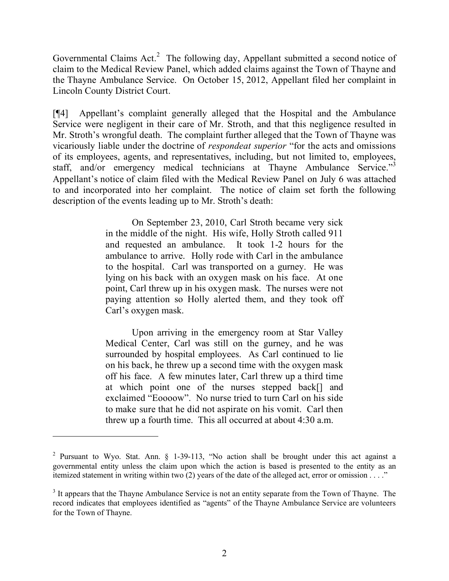Governmental Claims  $Act<sup>2</sup>$  The following day, Appellant submitted a second notice of claim to the Medical Review Panel, which added claims against the Town of Thayne and the Thayne Ambulance Service. On October 15, 2012, Appellant filed her complaint in Lincoln County District Court.

[¶4] Appellant's complaint generally alleged that the Hospital and the Ambulance Service were negligent in their care of Mr. Stroth, and that this negligence resulted in Mr. Stroth's wrongful death. The complaint further alleged that the Town of Thayne was vicariously liable under the doctrine of *respondeat superior* "for the acts and omissions of its employees, agents, and representatives, including, but not limited to, employees, staff, and/or emergency medical technicians at Thayne Ambulance Service."<sup>3</sup> Appellant's notice of claim filed with the Medical Review Panel on July 6 was attached to and incorporated into her complaint. The notice of claim set forth the following description of the events leading up to Mr. Stroth's death:

> On September 23, 2010, Carl Stroth became very sick in the middle of the night. His wife, Holly Stroth called 911 and requested an ambulance. It took 1-2 hours for the ambulance to arrive. Holly rode with Carl in the ambulance to the hospital. Carl was transported on a gurney. He was lying on his back with an oxygen mask on his face. At one point, Carl threw up in his oxygen mask. The nurses were not paying attention so Holly alerted them, and they took off Carl's oxygen mask.

> Upon arriving in the emergency room at Star Valley Medical Center, Carl was still on the gurney, and he was surrounded by hospital employees. As Carl continued to lie on his back, he threw up a second time with the oxygen mask off his face. A few minutes later, Carl threw up a third time at which point one of the nurses stepped back[] and exclaimed "Eoooow". No nurse tried to turn Carl on his side to make sure that he did not aspirate on his vomit. Carl then threw up a fourth time. This all occurred at about 4:30 a.m.

 $\overline{a}$ 

<sup>&</sup>lt;sup>2</sup> Pursuant to Wyo. Stat. Ann.  $\S$  1-39-113, "No action shall be brought under this act against a governmental entity unless the claim upon which the action is based is presented to the entity as an itemized statement in writing within two (2) years of the date of the alleged act, error or omission . . . ."

 $3$  It appears that the Thayne Ambulance Service is not an entity separate from the Town of Thayne. The record indicates that employees identified as "agents" of the Thayne Ambulance Service are volunteers for the Town of Thayne.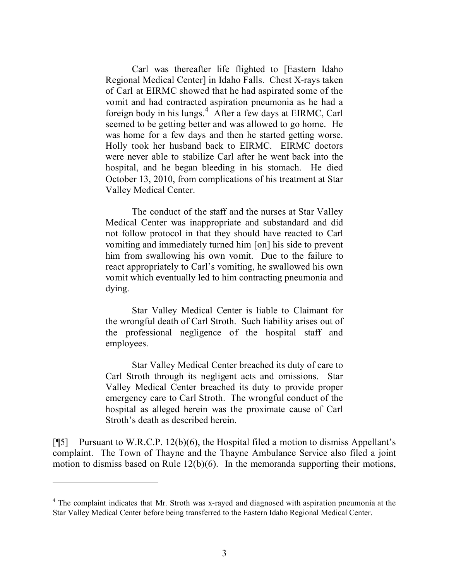Carl was thereafter life flighted to [Eastern Idaho Regional Medical Center] in Idaho Falls. Chest X-rays taken of Carl at EIRMC showed that he had aspirated some of the vomit and had contracted aspiration pneumonia as he had a foreign body in his lungs.<sup>4</sup> After a few days at EIRMC, Carl seemed to be getting better and was allowed to go home. He was home for a few days and then he started getting worse. Holly took her husband back to EIRMC. EIRMC doctors were never able to stabilize Carl after he went back into the hospital, and he began bleeding in his stomach. He died October 13, 2010, from complications of his treatment at Star Valley Medical Center.

The conduct of the staff and the nurses at Star Valley Medical Center was inappropriate and substandard and did not follow protocol in that they should have reacted to Carl vomiting and immediately turned him [on] his side to prevent him from swallowing his own vomit. Due to the failure to react appropriately to Carl's vomiting, he swallowed his own vomit which eventually led to him contracting pneumonia and dying.

Star Valley Medical Center is liable to Claimant for the wrongful death of Carl Stroth. Such liability arises out of the professional negligence of the hospital staff and employees.

Star Valley Medical Center breached its duty of care to Carl Stroth through its negligent acts and omissions. Star Valley Medical Center breached its duty to provide proper emergency care to Carl Stroth. The wrongful conduct of the hospital as alleged herein was the proximate cause of Carl Stroth's death as described herein.

[¶5] Pursuant to W.R.C.P. 12(b)(6), the Hospital filed a motion to dismiss Appellant's complaint. The Town of Thayne and the Thayne Ambulance Service also filed a joint motion to dismiss based on Rule 12(b)(6). In the memoranda supporting their motions,

 $\overline{a}$ 

<sup>&</sup>lt;sup>4</sup> The complaint indicates that Mr. Stroth was x-rayed and diagnosed with aspiration pneumonia at the Star Valley Medical Center before being transferred to the Eastern Idaho Regional Medical Center.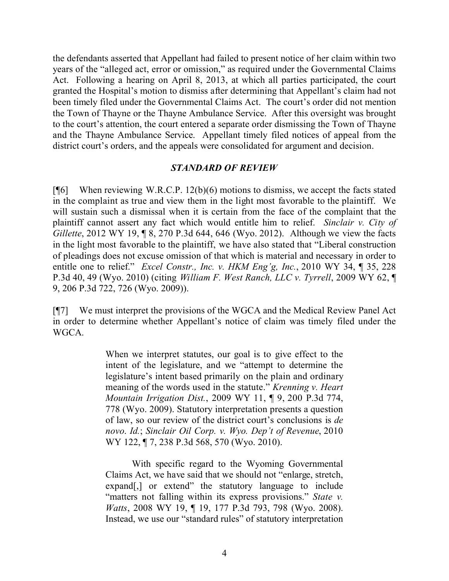the defendants asserted that Appellant had failed to present notice of her claim within two years of the "alleged act, error or omission," as required under the Governmental Claims Act. Following a hearing on April 8, 2013, at which all parties participated, the court granted the Hospital's motion to dismiss after determining that Appellant's claim had not been timely filed under the Governmental Claims Act. The court's order did not mention the Town of Thayne or the Thayne Ambulance Service. After this oversight was brought to the court's attention, the court entered a separate order dismissing the Town of Thayne and the Thayne Ambulance Service. Appellant timely filed notices of appeal from the district court's orders, and the appeals were consolidated for argument and decision.

#### *STANDARD OF REVIEW*

[ $[$ [6] When reviewing W.R.C.P. 12(b)(6) motions to dismiss, we accept the facts stated in the complaint as true and view them in the light most favorable to the plaintiff. We will sustain such a dismissal when it is certain from the face of the complaint that the plaintiff cannot assert any fact which would entitle him to relief. *Sinclair v. City of Gillette*, 2012 WY 19, ¶ 8, 270 P.3d 644, 646 (Wyo. 2012). Although we view the facts in the light most favorable to the plaintiff, we have also stated that "Liberal construction of pleadings does not excuse omission of that which is material and necessary in order to entitle one to relief." *Excel Constr., Inc. v. HKM Eng'g, Inc.*, 2010 WY 34, ¶ 35, 228 P.3d 40, 49 (Wyo. 2010) (citing *William F. West Ranch, LLC v. Tyrrell*, 2009 WY 62, ¶ 9, 206 P.3d 722, 726 (Wyo. 2009)).

[¶7] We must interpret the provisions of the WGCA and the Medical Review Panel Act in order to determine whether Appellant's notice of claim was timely filed under the WGCA.

> When we interpret statutes, our goal is to give effect to the intent of the legislature, and we "attempt to determine the legislature's intent based primarily on the plain and ordinary meaning of the words used in the statute." *Krenning v. Heart Mountain Irrigation Dist.*, 2009 WY 11, ¶ 9, 200 P.3d 774, 778 (Wyo. 2009). Statutory interpretation presents a question of law, so our review of the district court's conclusions is *de novo*. *Id.*; *Sinclair Oil Corp. v. Wyo. Dep't of Revenue*, 2010 WY 122, ¶ 7, 238 P.3d 568, 570 (Wyo. 2010).

> With specific regard to the Wyoming Governmental Claims Act, we have said that we should not "enlarge, stretch, expand[,] or extend" the statutory language to include "matters not falling within its express provisions." *State v. Watts*, 2008 WY 19, ¶ 19, 177 P.3d 793, 798 (Wyo. 2008). Instead, we use our "standard rules" of statutory interpretation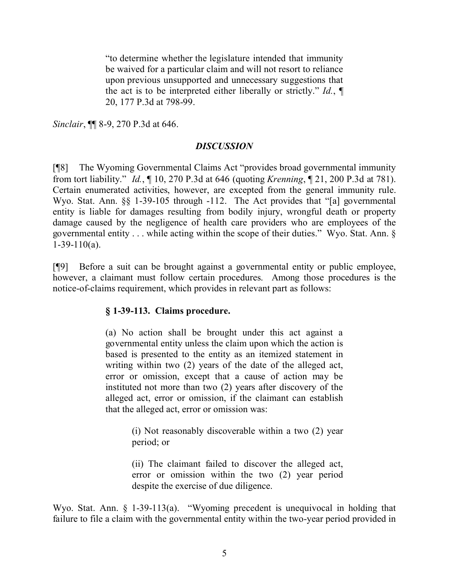"to determine whether the legislature intended that immunity be waived for a particular claim and will not resort to reliance upon previous unsupported and unnecessary suggestions that the act is to be interpreted either liberally or strictly." *Id.*, ¶ 20, 177 P.3d at 798-99.

*Sinclair*, ¶¶ 8-9, 270 P.3d at 646.

#### *DISCUSSION*

[¶8] The Wyoming Governmental Claims Act "provides broad governmental immunity from tort liability." *Id.*, ¶ 10, 270 P.3d at 646 (quoting *Krenning*, ¶ 21, 200 P.3d at 781). Certain enumerated activities, however, are excepted from the general immunity rule. Wyo. Stat. Ann. §§ 1-39-105 through -112. The Act provides that "[a] governmental entity is liable for damages resulting from bodily injury, wrongful death or property damage caused by the negligence of health care providers who are employees of the governmental entity . . . while acting within the scope of their duties." Wyo. Stat. Ann. §  $1-39-110(a)$ .

[¶9] Before a suit can be brought against a governmental entity or public employee, however, a claimant must follow certain procedures. Among those procedures is the notice-of-claims requirement, which provides in relevant part as follows:

### **§ 1-39-113. Claims procedure.**

(a) No action shall be brought under this act against a governmental entity unless the claim upon which the action is based is presented to the entity as an itemized statement in writing within two (2) years of the date of the alleged act, error or omission, except that a cause of action may be instituted not more than two (2) years after discovery of the alleged act, error or omission, if the claimant can establish that the alleged act, error or omission was:

> (i) Not reasonably discoverable within a two (2) year period; or

> (ii) The claimant failed to discover the alleged act, error or omission within the two (2) year period despite the exercise of due diligence.

Wyo. Stat. Ann. § 1-39-113(a). "Wyoming precedent is unequivocal in holding that failure to file a claim with the governmental entity within the two-year period provided in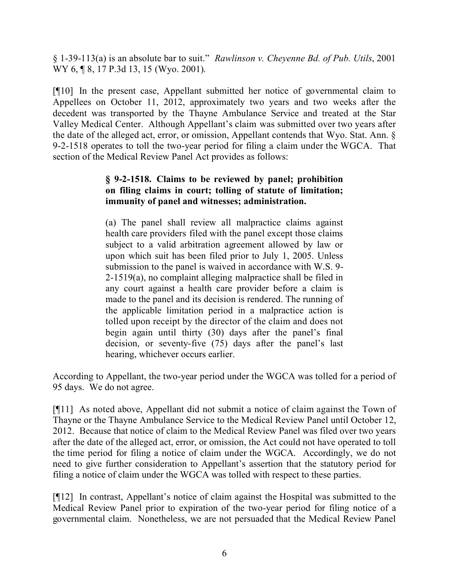§ 1-39-113(a) is an absolute bar to suit." *Rawlinson v. Cheyenne Bd. of Pub. Utils*, 2001 WY 6, ¶ 8, 17 P.3d 13, 15 (Wyo. 2001).

[¶10] In the present case, Appellant submitted her notice of governmental claim to Appellees on October 11, 2012, approximately two years and two weeks after the decedent was transported by the Thayne Ambulance Service and treated at the Star Valley Medical Center. Although Appellant's claim was submitted over two years after the date of the alleged act, error, or omission, Appellant contends that Wyo. Stat. Ann. § 9-2-1518 operates to toll the two-year period for filing a claim under the WGCA. That section of the Medical Review Panel Act provides as follows:

### **§ 9-2-1518. Claims to be reviewed by panel; prohibition on filing claims in court; tolling of statute of limitation; immunity of panel and witnesses; administration.**

(a) The panel shall review all malpractice claims against health care providers filed with the panel except those claims subject to a valid arbitration agreement allowed by law or upon which suit has been filed prior to July 1, 2005. Unless submission to the panel is waived in accordance with W.S. 9- 2-1519(a), no complaint alleging malpractice shall be filed in any court against a health care provider before a claim is made to the panel and its decision is rendered. The running of the applicable limitation period in a malpractice action is tolled upon receipt by the director of the claim and does not begin again until thirty (30) days after the panel's final decision, or seventy-five (75) days after the panel's last hearing, whichever occurs earlier.

According to Appellant, the two-year period under the WGCA was tolled for a period of 95 days. We do not agree.

[¶11] As noted above, Appellant did not submit a notice of claim against the Town of Thayne or the Thayne Ambulance Service to the Medical Review Panel until October 12, 2012. Because that notice of claim to the Medical Review Panel was filed over two years after the date of the alleged act, error, or omission, the Act could not have operated to toll the time period for filing a notice of claim under the WGCA. Accordingly, we do not need to give further consideration to Appellant's assertion that the statutory period for filing a notice of claim under the WGCA was tolled with respect to these parties.

[¶12] In contrast, Appellant's notice of claim against the Hospital was submitted to the Medical Review Panel prior to expiration of the two-year period for filing notice of a governmental claim. Nonetheless, we are not persuaded that the Medical Review Panel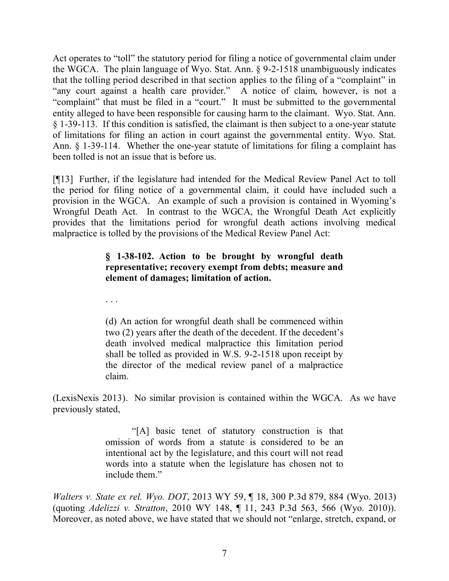Act operates to "toll" the statutory period for filing a notice of governmental claim under the WGCA. The plain language of Wyo. Stat. Ann. § 9-2-1518 unambiguously indicates that the tolling period described in that section applies to the filing of a "complaint" in "any court against a health care provider." A notice of claim, however, is not a "complaint" that must be filed in a "court." It must be submitted to the governmental entity alleged to have been responsible for causing harm to the claimant. Wyo. Stat. Ann. § 1-39-113. If this condition is satisfied, the claimant is then subject to a one-year statute of limitations for filing an action in court against the governmental entity. Wyo. Stat. Ann. § 1-39-114. Whether the one-year statute of limitations for filing a complaint has been tolled is not an issue that is before us.

[¶13] Further, if the legislature had intended for the Medical Review Panel Act to toll the period for filing notice of a governmental claim, it could have included such a provision in the WGCA. An example of such a provision is contained in Wyoming's Wrongful Death Act. In contrast to the WGCA, the Wrongful Death Act explicitly provides that the limitations period for wrongful death actions involving medical malpractice is tolled by the provisions of the Medical Review Panel Act:

## **§ 1-38-102. Action to be brought by wrongful death representative; recovery exempt from debts; measure and element of damages; limitation of action.**

. . .

(d) An action for wrongful death shall be commenced within two (2) years after the death of the decedent. If the decedent's death involved medical malpractice this limitation period shall be tolled as provided in W.S. 9-2-1518 upon receipt by the director of the medical review panel of a malpractice claim.

(LexisNexis 2013). No similar provision is contained within the WGCA. As we have previously stated,

> "[A] basic tenet of statutory construction is that omission of words from a statute is considered to be an intentional act by the legislature, and this court will not read words into a statute when the legislature has chosen not to include them."

*Walters v. State ex rel. Wyo. DOT*, 2013 WY 59, ¶ 18, 300 P.3d 879, 884 (Wyo. 2013) (quoting *Adelizzi v. Stratton*, 2010 WY 148, ¶ 11, 243 P.3d 563, 566 (Wyo. 2010)). Moreover, as noted above, we have stated that we should not "enlarge, stretch, expand, or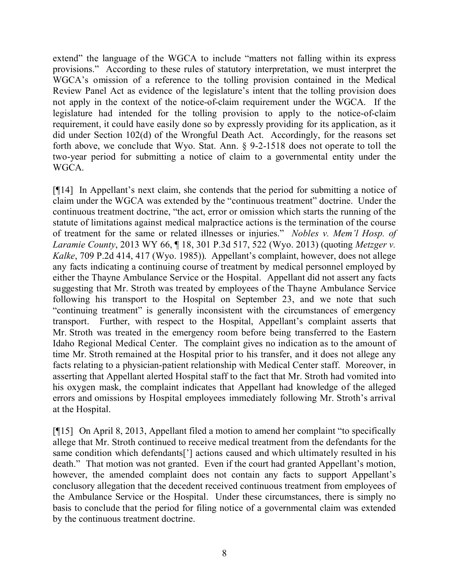extend" the language of the WGCA to include "matters not falling within its express provisions." According to these rules of statutory interpretation, we must interpret the WGCA's omission of a reference to the tolling provision contained in the Medical Review Panel Act as evidence of the legislature's intent that the tolling provision does not apply in the context of the notice-of-claim requirement under the WGCA. If the legislature had intended for the tolling provision to apply to the notice-of-claim requirement, it could have easily done so by expressly providing for its application, as it did under Section 102(d) of the Wrongful Death Act. Accordingly, for the reasons set forth above, we conclude that Wyo. Stat. Ann. § 9-2-1518 does not operate to toll the two-year period for submitting a notice of claim to a governmental entity under the WGCA.

[¶14] In Appellant's next claim, she contends that the period for submitting a notice of claim under the WGCA was extended by the "continuous treatment" doctrine. Under the continuous treatment doctrine, "the act, error or omission which starts the running of the statute of limitations against medical malpractice actions is the termination of the course of treatment for the same or related illnesses or injuries." *Nobles v. Mem'l Hosp. of Laramie County*, 2013 WY 66, ¶ 18, 301 P.3d 517, 522 (Wyo. 2013) (quoting *Metzger v. Kalke*, 709 P.2d 414, 417 (Wyo. 1985)). Appellant's complaint, however, does not allege any facts indicating a continuing course of treatment by medical personnel employed by either the Thayne Ambulance Service or the Hospital. Appellant did not assert any facts suggesting that Mr. Stroth was treated by employees of the Thayne Ambulance Service following his transport to the Hospital on September 23, and we note that such "continuing treatment" is generally inconsistent with the circumstances of emergency transport. Further, with respect to the Hospital, Appellant's complaint asserts that Mr. Stroth was treated in the emergency room before being transferred to the Eastern Idaho Regional Medical Center. The complaint gives no indication as to the amount of time Mr. Stroth remained at the Hospital prior to his transfer, and it does not allege any facts relating to a physician-patient relationship with Medical Center staff. Moreover, in asserting that Appellant alerted Hospital staff to the fact that Mr. Stroth had vomited into his oxygen mask, the complaint indicates that Appellant had knowledge of the alleged errors and omissions by Hospital employees immediately following Mr. Stroth's arrival at the Hospital.

[¶15] On April 8, 2013, Appellant filed a motion to amend her complaint "to specifically allege that Mr. Stroth continued to receive medical treatment from the defendants for the same condition which defendants['] actions caused and which ultimately resulted in his death." That motion was not granted. Even if the court had granted Appellant's motion, however, the amended complaint does not contain any facts to support Appellant's conclusory allegation that the decedent received continuous treatment from employees of the Ambulance Service or the Hospital. Under these circumstances, there is simply no basis to conclude that the period for filing notice of a governmental claim was extended by the continuous treatment doctrine.